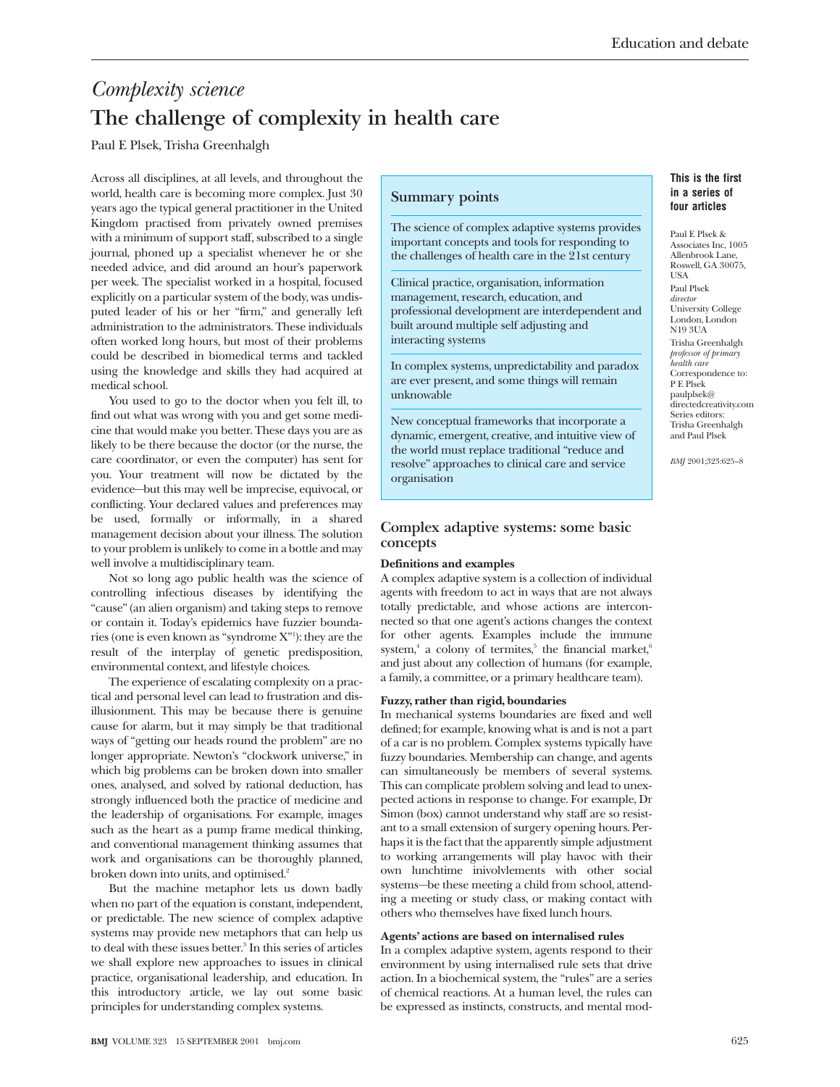# *Complexity science* **The challenge of complexity in health care**

Paul E Plsek, Trisha Greenhalgh

Across all disciplines, at all levels, and throughout the world, health care is becoming more complex. Just 30 years ago the typical general practitioner in the United Kingdom practised from privately owned premises with a minimum of support staff, subscribed to a single journal, phoned up a specialist whenever he or she needed advice, and did around an hour's paperwork per week. The specialist worked in a hospital, focused explicitly on a particular system of the body, was undisputed leader of his or her "firm," and generally left administration to the administrators. These individuals often worked long hours, but most of their problems could be described in biomedical terms and tackled using the knowledge and skills they had acquired at medical school.

You used to go to the doctor when you felt ill, to find out what was wrong with you and get some medicine that would make you better. These days you are as likely to be there because the doctor (or the nurse, the care coordinator, or even the computer) has sent for you. Your treatment will now be dictated by the evidence—but this may well be imprecise, equivocal, or conflicting. Your declared values and preferences may be used, formally or informally, in a shared management decision about your illness. The solution to your problem is unlikely to come in a bottle and may well involve a multidisciplinary team.

Not so long ago public health was the science of controlling infectious diseases by identifying the "cause" (an alien organism) and taking steps to remove or contain it. Today's epidemics have fuzzier boundaries (one is even known as "syndrome X"1 ): they are the result of the interplay of genetic predisposition, environmental context, and lifestyle choices.

The experience of escalating complexity on a practical and personal level can lead to frustration and disillusionment. This may be because there is genuine cause for alarm, but it may simply be that traditional ways of "getting our heads round the problem" are no longer appropriate. Newton's "clockwork universe," in which big problems can be broken down into smaller ones, analysed, and solved by rational deduction, has strongly influenced both the practice of medicine and the leadership of organisations. For example, images such as the heart as a pump frame medical thinking, and conventional management thinking assumes that work and organisations can be thoroughly planned, broken down into units, and optimised.<sup>2</sup>

But the machine metaphor lets us down badly when no part of the equation is constant, independent, or predictable. The new science of complex adaptive systems may provide new metaphors that can help us to deal with these issues better.<sup>3</sup> In this series of articles we shall explore new approaches to issues in clinical practice, organisational leadership, and education. In this introductory article, we lay out some basic principles for understanding complex systems.

# **Summary points**

The science of complex adaptive systems provides important concepts and tools for responding to the challenges of health care in the 21st century

Clinical practice, organisation, information management, research, education, and professional development are interdependent and built around multiple self adjusting and interacting systems

In complex systems, unpredictability and paradox are ever present, and some things will remain unknowable

New conceptual frameworks that incorporate a dynamic, emergent, creative, and intuitive view of the world must replace traditional "reduce and resolve" approaches to clinical care and service organisation

# **Complex adaptive systems: some basic concepts**

#### **Definitions and examples**

A complex adaptive system is a collection of individual agents with freedom to act in ways that are not always totally predictable, and whose actions are interconnected so that one agent's actions changes the context for other agents. Examples include the immune system,<sup>4</sup> a colony of termites,<sup>5</sup> the financial market,<sup>6</sup> and just about any collection of humans (for example, a family, a committee, or a primary healthcare team).

# **Fuzzy, rather than rigid, boundaries**

In mechanical systems boundaries are fixed and well defined; for example, knowing what is and is not a part of a car is no problem. Complex systems typically have fuzzy boundaries. Membership can change, and agents can simultaneously be members of several systems. This can complicate problem solving and lead to unexpected actions in response to change. For example, Dr Simon (box) cannot understand why staff are so resistant to a small extension of surgery opening hours. Perhaps it is the fact that the apparently simple adjustment to working arrangements will play havoc with their own lunchtime inivolvlements with other social systems—be these meeting a child from school, attending a meeting or study class, or making contact with others who themselves have fixed lunch hours.

# **Agents' actions are based on internalised rules**

In a complex adaptive system, agents respond to their environment by using internalised rule sets that drive action. In a biochemical system, the "rules" are a series of chemical reactions. At a human level, the rules can be expressed as instincts, constructs, and mental mod-

# **This is the first in a series of four articles**

Paul E Plsek & Associates Inc, 1005 Allenbrook Lane, Roswell, GA 30075, USA Paul Plsek *director* University College London, London N19 3UA Trisha Greenhalgh *professor of primary health care* Correspondence to: P E Plsek paulplsek@ directedcreativity.com Series editors: Trisha Greenhalgh and Paul Plsek

*BMJ* 2001;323:625–8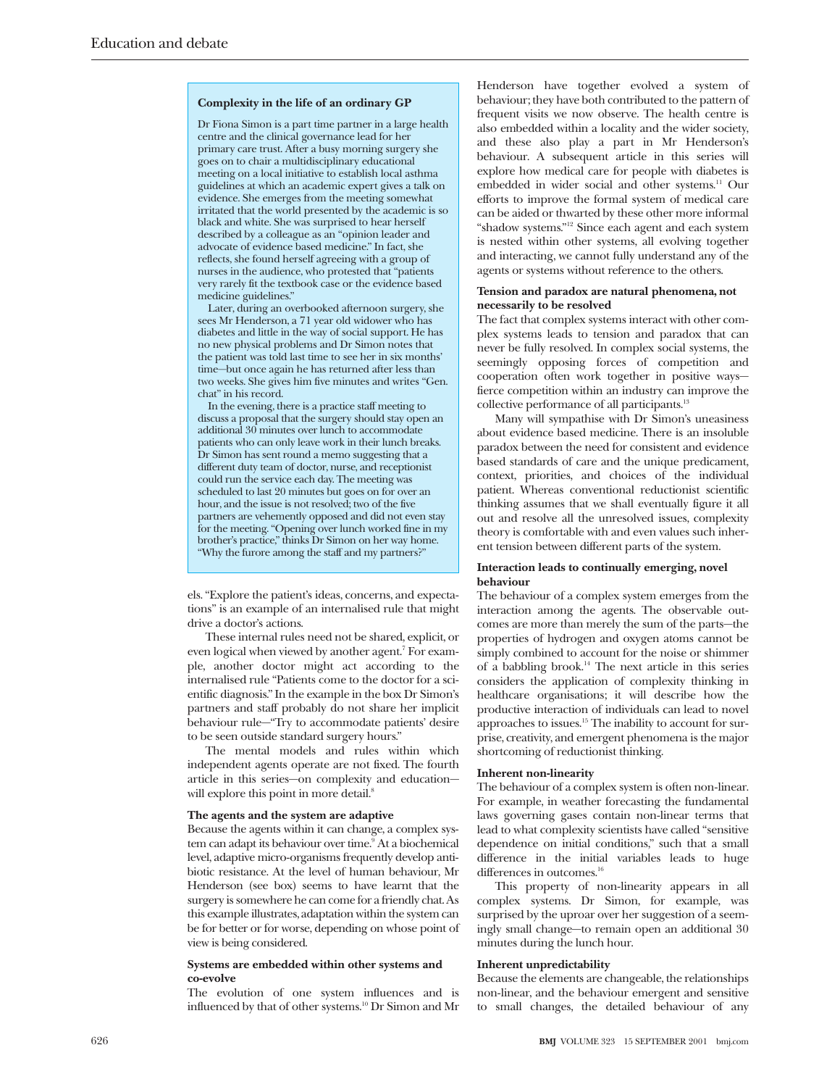#### **Complexity in the life of an ordinary GP**

Dr Fiona Simon is a part time partner in a large health centre and the clinical governance lead for her primary care trust. After a busy morning surgery she goes on to chair a multidisciplinary educational meeting on a local initiative to establish local asthma guidelines at which an academic expert gives a talk on evidence. She emerges from the meeting somewhat irritated that the world presented by the academic is so black and white. She was surprised to hear herself described by a colleague as an "opinion leader and advocate of evidence based medicine." In fact, she reflects, she found herself agreeing with a group of nurses in the audience, who protested that "patients very rarely fit the textbook case or the evidence based medicine guidelines."

Later, during an overbooked afternoon surgery, she sees Mr Henderson, a 71 year old widower who has diabetes and little in the way of social support. He has no new physical problems and Dr Simon notes that the patient was told last time to see her in six months' time—but once again he has returned after less than two weeks. She gives him five minutes and writes "Gen. chat" in his record.

In the evening, there is a practice staff meeting to discuss a proposal that the surgery should stay open an additional 30 minutes over lunch to accommodate patients who can only leave work in their lunch breaks. Dr Simon has sent round a memo suggesting that a different duty team of doctor, nurse, and receptionist could run the service each day. The meeting was scheduled to last 20 minutes but goes on for over an hour, and the issue is not resolved; two of the five partners are vehemently opposed and did not even stay for the meeting. "Opening over lunch worked fine in my brother's practice," thinks Dr Simon on her way home. "Why the furore among the staff and my partners?"

els. "Explore the patient's ideas, concerns, and expectations" is an example of an internalised rule that might drive a doctor's actions.

These internal rules need not be shared, explicit, or even logical when viewed by another agent.<sup>7</sup> For example, another doctor might act according to the internalised rule "Patients come to the doctor for a scientific diagnosis." In the example in the box Dr Simon's partners and staff probably do not share her implicit behaviour rule—"Try to accommodate patients' desire to be seen outside standard surgery hours."

The mental models and rules within which independent agents operate are not fixed. The fourth article in this series—on complexity and education will explore this point in more detail.<sup>8</sup>

#### **The agents and the system are adaptive**

Because the agents within it can change, a complex system can adapt its behaviour over time.<sup>9</sup> At a biochemical level, adaptive micro-organisms frequently develop antibiotic resistance. At the level of human behaviour, Mr Henderson (see box) seems to have learnt that the surgery is somewhere he can come for a friendly chat. As this example illustrates, adaptation within the system can be for better or for worse, depending on whose point of view is being considered.

#### **Systems are embedded within other systems and co-evolve**

The evolution of one system influences and is influenced by that of other systems.10 Dr Simon and Mr

Henderson have together evolved a system of behaviour; they have both contributed to the pattern of frequent visits we now observe. The health centre is also embedded within a locality and the wider society, and these also play a part in Mr Henderson's behaviour. A subsequent article in this series will explore how medical care for people with diabetes is embedded in wider social and other systems.<sup>11</sup> Our efforts to improve the formal system of medical care can be aided or thwarted by these other more informal "shadow systems."12 Since each agent and each system is nested within other systems, all evolving together and interacting, we cannot fully understand any of the agents or systems without reference to the others.

#### **Tension and paradox are natural phenomena, not necessarily to be resolved**

The fact that complex systems interact with other complex systems leads to tension and paradox that can never be fully resolved. In complex social systems, the seemingly opposing forces of competition and cooperation often work together in positive ways fierce competition within an industry can improve the collective performance of all participants.<sup>13</sup>

Many will sympathise with Dr Simon's uneasiness about evidence based medicine. There is an insoluble paradox between the need for consistent and evidence based standards of care and the unique predicament, context, priorities, and choices of the individual patient. Whereas conventional reductionist scientific thinking assumes that we shall eventually figure it all out and resolve all the unresolved issues, complexity theory is comfortable with and even values such inherent tension between different parts of the system.

#### **Interaction leads to continually emerging, novel behaviour**

The behaviour of a complex system emerges from the interaction among the agents. The observable outcomes are more than merely the sum of the parts—the properties of hydrogen and oxygen atoms cannot be simply combined to account for the noise or shimmer of a babbling brook.<sup>14</sup> The next article in this series considers the application of complexity thinking in healthcare organisations; it will describe how the productive interaction of individuals can lead to novel approaches to issues.15 The inability to account for surprise, creativity, and emergent phenomena is the major shortcoming of reductionist thinking.

#### **Inherent non-linearity**

The behaviour of a complex system is often non-linear. For example, in weather forecasting the fundamental laws governing gases contain non-linear terms that lead to what complexity scientists have called "sensitive dependence on initial conditions," such that a small difference in the initial variables leads to huge differences in outcomes.<sup>16</sup>

This property of non-linearity appears in all complex systems. Dr Simon, for example, was surprised by the uproar over her suggestion of a seemingly small change—to remain open an additional 30 minutes during the lunch hour.

#### **Inherent unpredictability**

Because the elements are changeable, the relationships non-linear, and the behaviour emergent and sensitive to small changes, the detailed behaviour of any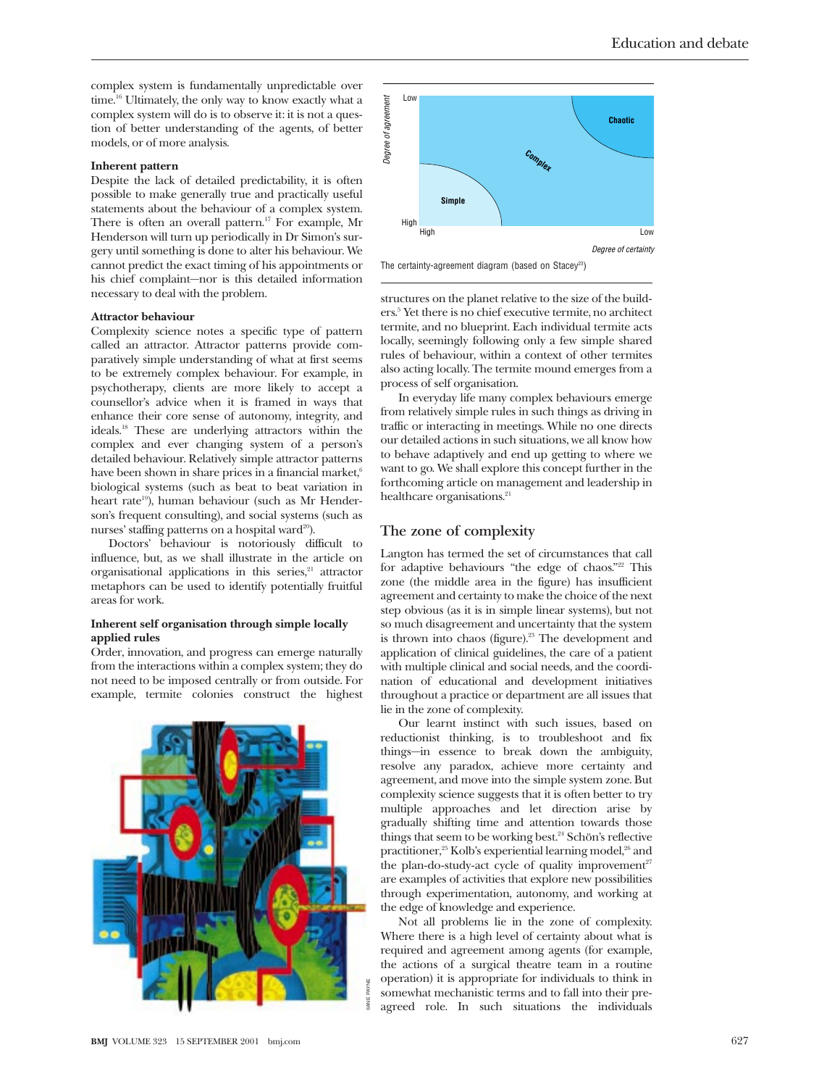complex system is fundamentally unpredictable over time.<sup>16</sup> Ultimately, the only way to know exactly what a complex system will do is to observe it: it is not a question of better understanding of the agents, of better models, or of more analysis.

#### **Inherent pattern**

Despite the lack of detailed predictability, it is often possible to make generally true and practically useful statements about the behaviour of a complex system. There is often an overall pattern.<sup>17</sup> For example, Mr Henderson will turn up periodically in Dr Simon's surgery until something is done to alter his behaviour. We cannot predict the exact timing of his appointments or his chief complaint—nor is this detailed information necessary to deal with the problem.

#### **Attractor behaviour**

Complexity science notes a specific type of pattern called an attractor. Attractor patterns provide comparatively simple understanding of what at first seems to be extremely complex behaviour. For example, in psychotherapy, clients are more likely to accept a counsellor's advice when it is framed in ways that enhance their core sense of autonomy, integrity, and ideals.18 These are underlying attractors within the complex and ever changing system of a person's detailed behaviour. Relatively simple attractor patterns have been shown in share prices in a financial market,<sup>6</sup> biological systems (such as beat to beat variation in heart rate<sup>19</sup>), human behaviour (such as Mr Henderson's frequent consulting), and social systems (such as nurses' staffing patterns on a hospital ward<sup>20</sup>).

Doctors' behaviour is notoriously difficult to influence, but, as we shall illustrate in the article on organisational applications in this series,<sup>21</sup> attractor metaphors can be used to identify potentially fruitful areas for work.

### **Inherent self organisation through simple locally applied rules**

Order, innovation, and progress can emerge naturally from the interactions within a complex system; they do not need to be imposed centrally or from outside. For example, termite colonies construct the highest





The certainty-agreement diagram (based on Stacey<sup>23</sup>)

structures on the planet relative to the size of the builders.5 Yet there is no chief executive termite, no architect termite, and no blueprint. Each individual termite acts locally, seemingly following only a few simple shared rules of behaviour, within a context of other termites also acting locally. The termite mound emerges from a process of self organisation.

In everyday life many complex behaviours emerge from relatively simple rules in such things as driving in traffic or interacting in meetings. While no one directs our detailed actions in such situations, we all know how to behave adaptively and end up getting to where we want to go. We shall explore this concept further in the forthcoming article on management and leadership in healthcare organisations.<sup>21</sup>

# **The zone of complexity**

Langton has termed the set of circumstances that call for adaptive behaviours "the edge of chaos."<sup>22</sup> This zone (the middle area in the figure) has insufficient agreement and certainty to make the choice of the next step obvious (as it is in simple linear systems), but not so much disagreement and uncertainty that the system is thrown into chaos (figure).<sup>23</sup> The development and application of clinical guidelines, the care of a patient with multiple clinical and social needs, and the coordination of educational and development initiatives throughout a practice or department are all issues that lie in the zone of complexity.

Our learnt instinct with such issues, based on reductionist thinking, is to troubleshoot and fix things—in essence to break down the ambiguity, resolve any paradox, achieve more certainty and agreement, and move into the simple system zone. But complexity science suggests that it is often better to try multiple approaches and let direction arise by gradually shifting time and attention towards those things that seem to be working best.<sup>24</sup> Schön's reflective practitioner,<sup>25</sup> Kolb's experiential learning model,<sup>26</sup> and the plan-do-study-act cycle of quality improvement<sup>27</sup> are examples of activities that explore new possibilities through experimentation, autonomy, and working at the edge of knowledge and experience.

Not all problems lie in the zone of complexity. Where there is a high level of certainty about what is required and agreement among agents (for example, the actions of a surgical theatre team in a routine operation) it is appropriate for individuals to think in somewhat mechanistic terms and to fall into their preagreed role. In such situations the individuals